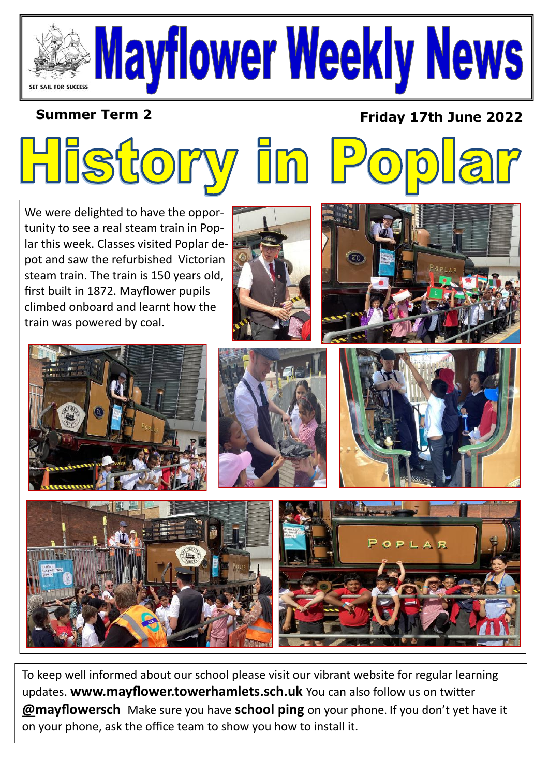## Mayflower Weekly News SET SAIL FOR SUCCESS

## **Summer Term 2**

**Hist** 

## **Friday 17th June 2022**

We were delighted to have the opportunity to see a real steam train in Poplar this week. Classes visited Poplar depot and saw the refurbished Victorian steam train. The train is 150 years old, first built in 1872. Mayflower pupils climbed onboard and learnt how the train was powered by coal.













To keep well informed about our school please visit our vibrant website for regular learning updates. **www.mayflower.towerhamlets.sch.uk** You can also follow us on twitter **@mayflowersch** Make sure you have **school ping** on your phone. If you don't yet have it on your phone, ask the office team to show you how to install it.